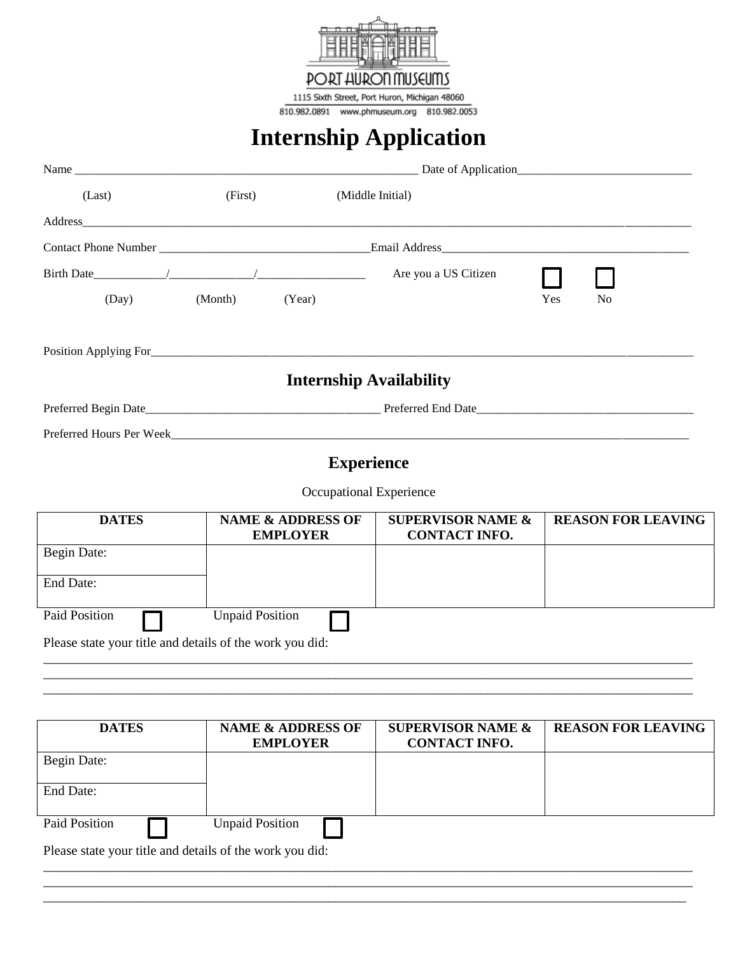

1115 Sixth Street, Port Huron, Michigan 48060 810.982.0891 www.phmuseum.org 810.982.0053

## **Internship Application**

| (Last)                                                   | (First)                                         | (Middle Initial)               |                                                      |     |                           |  |  |
|----------------------------------------------------------|-------------------------------------------------|--------------------------------|------------------------------------------------------|-----|---------------------------|--|--|
|                                                          |                                                 |                                |                                                      |     |                           |  |  |
|                                                          |                                                 |                                |                                                      |     |                           |  |  |
|                                                          |                                                 |                                | Are you a US Citizen                                 |     |                           |  |  |
| (Day)                                                    | (Month)                                         | (Year)                         |                                                      | Yes | N <sub>o</sub>            |  |  |
|                                                          |                                                 |                                |                                                      |     |                           |  |  |
|                                                          |                                                 | <b>Internship Availability</b> |                                                      |     |                           |  |  |
|                                                          |                                                 |                                |                                                      |     |                           |  |  |
|                                                          |                                                 |                                |                                                      |     |                           |  |  |
|                                                          |                                                 | <b>Experience</b>              |                                                      |     |                           |  |  |
|                                                          |                                                 | Occupational Experience        |                                                      |     |                           |  |  |
| <b>DATES</b>                                             | <b>NAME &amp; ADDRESS OF</b><br><b>EMPLOYER</b> |                                | <b>SUPERVISOR NAME &amp;</b><br><b>CONTACT INFO.</b> |     | <b>REASON FOR LEAVING</b> |  |  |
| Begin Date:                                              |                                                 |                                |                                                      |     |                           |  |  |
| End Date:                                                |                                                 |                                |                                                      |     |                           |  |  |
| Paid Position                                            | <b>Unpaid Position</b>                          |                                |                                                      |     |                           |  |  |
| Please state your title and details of the work you did: |                                                 |                                |                                                      |     |                           |  |  |
|                                                          |                                                 |                                |                                                      |     |                           |  |  |
|                                                          |                                                 |                                |                                                      |     |                           |  |  |
| <b>DATES</b>                                             | <b>NAME &amp; ADDRESS OF</b><br><b>EMPLOYER</b> |                                | <b>SUPERVISOR NAME &amp;</b><br><b>CONTACT INFO.</b> |     | <b>REASON FOR LEAVING</b> |  |  |
| <b>Begin Date:</b>                                       |                                                 |                                |                                                      |     |                           |  |  |
| End Date:                                                |                                                 |                                |                                                      |     |                           |  |  |

\_\_\_\_\_\_\_\_\_\_\_\_\_\_\_\_\_\_\_\_\_\_\_\_\_\_\_\_\_\_\_\_\_\_\_\_\_\_\_\_\_\_\_\_\_\_\_\_\_\_\_\_\_\_\_\_\_\_\_\_\_\_\_\_\_\_\_\_\_\_\_\_\_\_\_\_\_\_\_\_\_\_\_\_\_\_\_\_\_\_\_\_\_\_\_\_\_\_ \_\_\_\_\_\_\_\_\_\_\_\_\_\_\_\_\_\_\_\_\_\_\_\_\_\_\_\_\_\_\_\_\_\_\_\_\_\_\_\_\_\_\_\_\_\_\_\_\_\_\_\_\_\_\_\_\_\_\_\_\_\_\_\_\_\_\_\_\_\_\_\_\_\_\_\_\_\_\_\_\_\_\_\_\_\_\_\_\_\_\_\_\_\_\_\_\_

Paid Position Unpaid Position

Please state your title and details of the work you did: \_\_\_\_\_\_\_\_\_\_\_\_\_\_\_\_\_\_\_\_\_\_\_\_\_\_\_\_\_\_\_\_\_\_\_\_\_\_\_\_\_\_\_\_\_\_\_\_\_\_\_\_\_\_\_\_\_\_\_\_\_\_\_\_\_\_\_\_\_\_\_\_\_\_\_\_\_\_\_\_\_\_\_\_\_\_\_\_\_\_\_\_\_\_\_\_\_\_